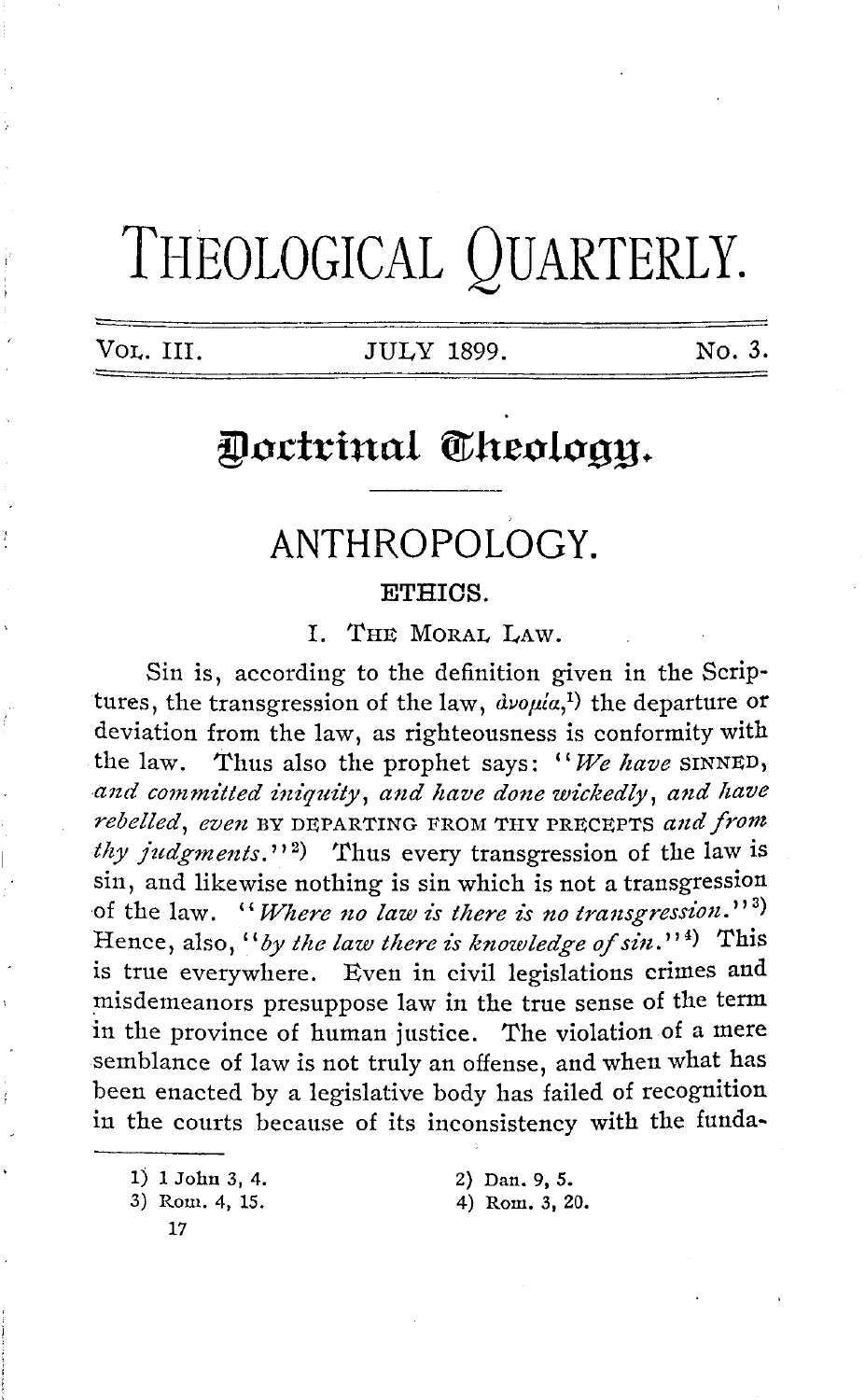# **THEOLOGICAL QUARTERLY.**

VOL. III. JULY 1899. No. 3.

# **~loi:ti;inal <!Ch.eology.**

# **ANTHROPOLOGY.**

#### **ETHICS.**

I. THE MORAL LAW.

Sin is, according to the definition given in the Scriptures, the transgression of the law,  $d\nu \rho \mu/a$ ,<sup>1</sup>) the departure or deviation from the law, as righteousness is conformity with the law. Thus also the prophet says: *"We have* SINNED, *and committed iniquity, and have done wickedly, and have rebelled, even* BY DEPARTING FROM THY PRECEPTS *and from thy judgments.*"<sup>2</sup>) Thus every transgression of the law is sin, and likewise nothing is sin which is not a transgression of the law. "Where no law is there is no transgression."<sup>3</sup> Hence, also, "by the law there is knowledge of sin."<sup>4</sup>) This is true everywhere. Even in civil legislations crimes and misdemeanors presuppose law in the true sense of the term in the province of human justice. The violation of a mere semblance of law is not truly an offense, and when what has been enacted by a legislative body has failed of recognition in the courts because of its inconsistency with the funda-

1) 1 John 3, 4.

2) Dan. 9, 5. 4) Rom. 3, 20.

17

<sup>3)</sup> Rom. 4, 15.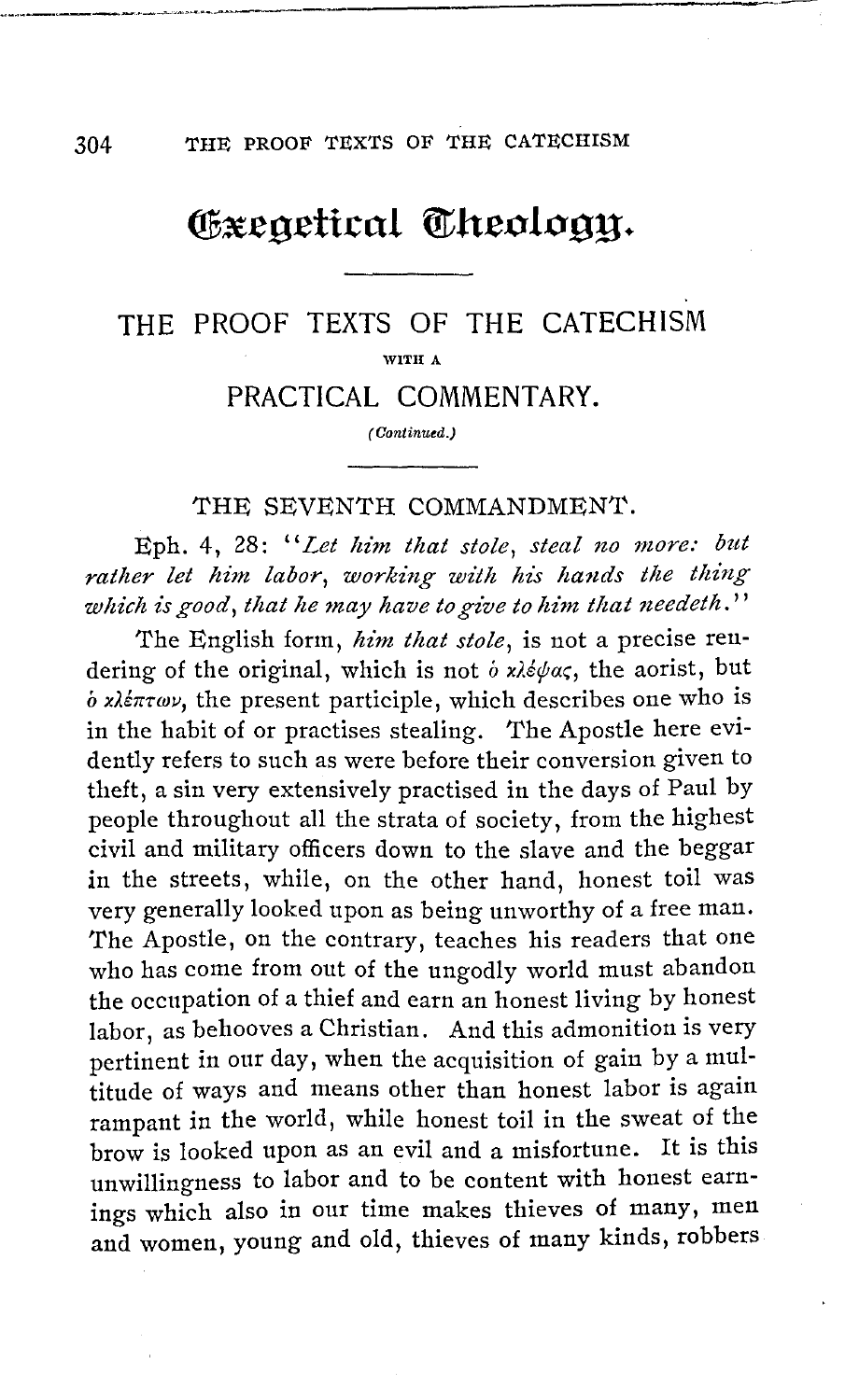--·--·-·--·---------------------~

# Gxeaetical Cheology.

# THE PROOF TEXTS OF THE CATECHISM WITII A

PRACTICAL COMMENTARY.

(Continued.)

### THE SEVENTH COMMANDMENT.

Eph. 4, 28: "Let him that stole, steal no more: but rather let him labor, working with his hands the thing which is good, that he may have to give to him that needeth.''

The English form, him that stole, is not a precise rendering of the original, which is not  $\delta$  x)  $\delta \varphi$ ac, the aorist, but *b xJ.far-mv,* the present participle, which describes one who is in the habit of or practises stealing. The Apostle here evidently refers to such as were before their conversion given to theft, a sin very extensively practised in the days of Paul by people throughout all the strata of society, from the highest civil and military officers down to the slave and the beggar in the streets, while, on the other hand, honest toil was very generally looked upon as being unworthy of a free man. The Apostle, on the contrary, teaches his readers that one who has come from out of the ungodly world must abandon the occupation of a thief and earn an honest living by honest labor, as behooves a Christian. And this admonition is very pertinent in our day, when the acquisition of gain by a multitude of ways and means other than honest labor is again rampant in the world, while honest toil in the sweat of the brow is looked upon as an evil and a misfortune. It is this unwillingness to labor and to be content with honest earnings which also in our time makes thieves of many, men and women, young and old, thieves of many kinds, robbers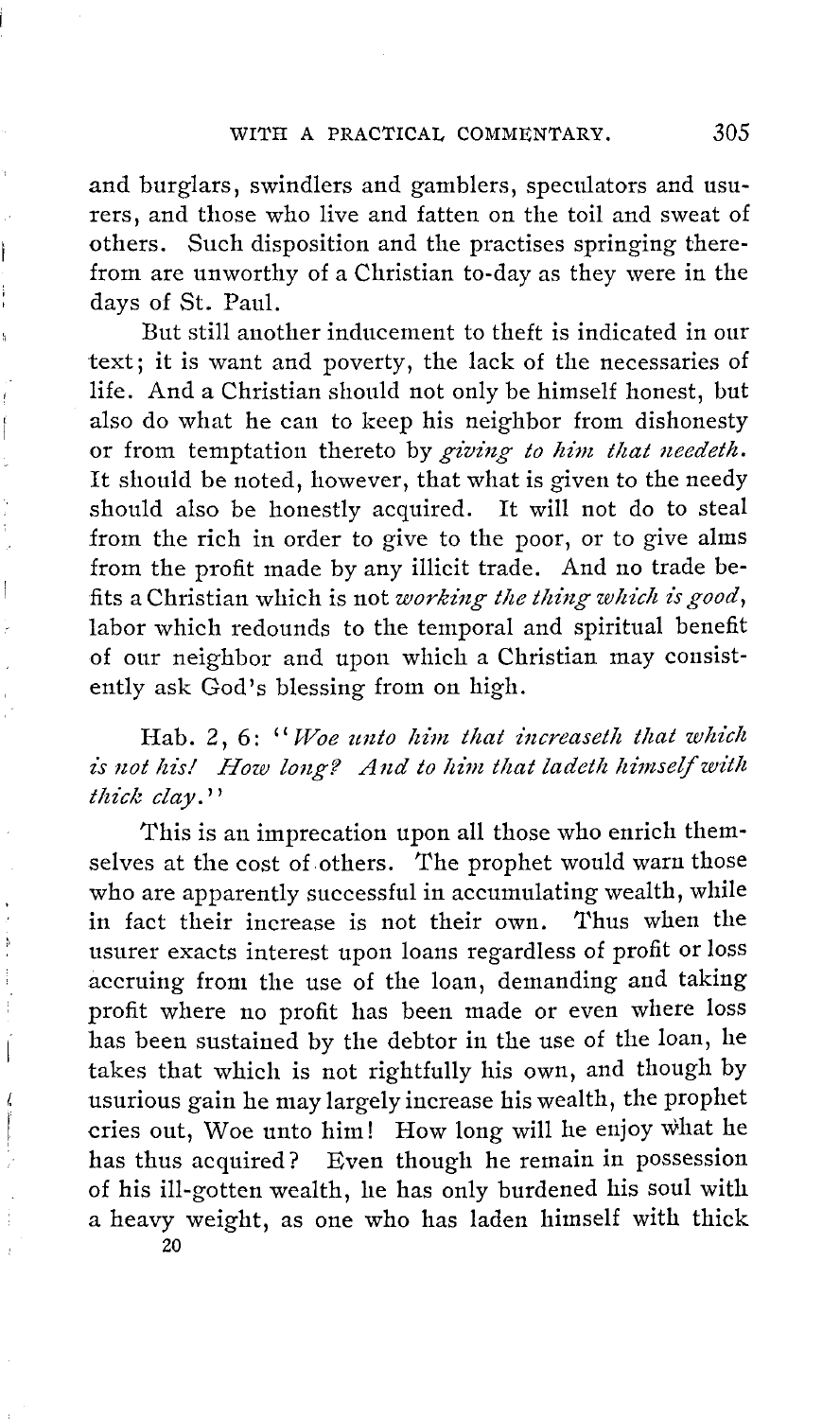and burglars, swindlers and gamblers, speculators and usurers, and those who live and fatten on the toil and sweat of others. Such disposition and the practises springing therefrom are unworthy of a Christian to-day as they were in the days of St. Paul.

But still another inducement to theft is indicated in our text; it is want and poverty, the lack of the necessaries of life. And a Christian should not only be himself honest, but also do what he can to keep his neighbor from dishonesty or from temptation thereto by *giving to him that needeth*. It should be noted, however, that what is given to the needy should also be honestly acquired. It will not do to steal from the rich in order to give to the poor, or to give alms from the profit made by any illicit trade. And no trade befits a Christian which is not *working the thing which is good*, labor which redounds to the temporal and spiritual benefit of our neighbor and upon which a Christian may consistently ask God's blessing from on high.

### Hab. 2, 6: '' *TVoe unto him that increaseth that which is not his! How long? And to him that ladeth himself with t!i£ck clay.'* '

This is an imprecation upon all those who enrich themselves at the cost of others. The prophet would warn those who are apparently successful in accumulating wealth, while in fact their increase is not their own. Thus when the usurer exacts interest upon loans regardless of profit or loss accruing from the use of the loan, demanding and taking profit where no profit has been made or even where loss has been sustained by the debtor in the use of the loan, he takes that which is not rightfully his own, and though by usurious gain he may largely increase his wealth, the prophet cries out, Woe unto him! How long will he enjoy what he has thus acquired? Even though he remain in possession of his ill-gotten wealth, he has only burdened his soul with a heavy weight, as one who has laden himself with thick

20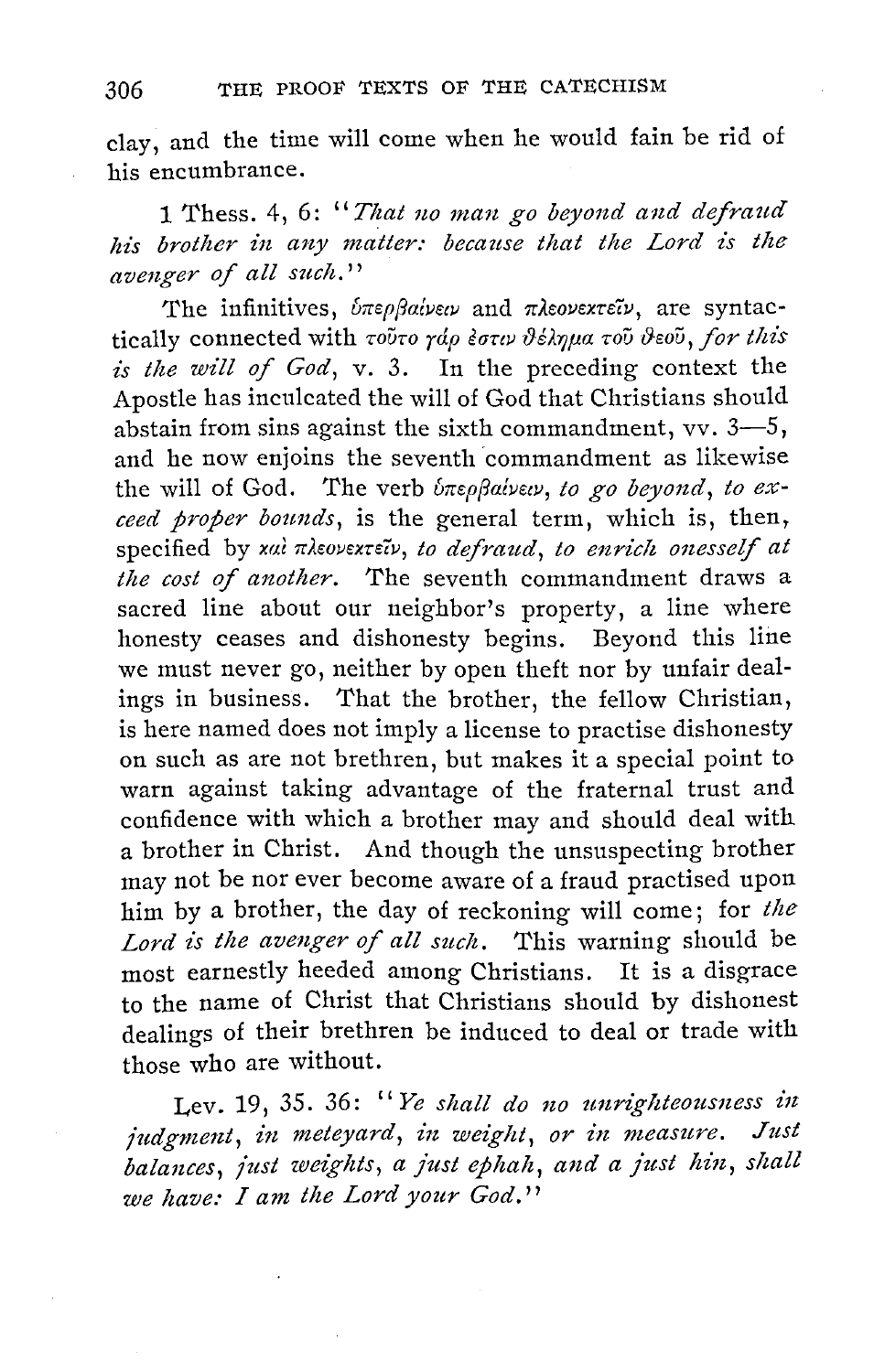clay, and the time will come when he would fain be rid of his encumbrance.

1 Thess. 4, 6: "That no man go beyond and defraud his brother in any matter: because that the Lord is the *avenger of all such.''* 

The infinitives, *bπερβαίνειν* and πλεονεχτεΐν, are syntactically connected with τούτο γάρ έστιν θέλημα τού θεού, for this *is the will of God, v.* 3. In the preceding context the Apostle has inculcated the will of God that Christians should abstain from sins against the sixth commandment, vv.  $3-5$ , and he now enjoins the seventh commandment as likewise the will of God. The verb *bπερβαίνειν, to go beyond, to exceed proper bounds*, is the general term, which is, then, specified by *xui nkovexreiv, to defraud, to enrich onesself at the cost of another.* The seventh commandment draws a sacred line about our neighbor's property, a line where honesty ceases and dishonesty begins. Beyond this line we must never go, neither by open theft nor by unfair dealings in business. That the brother, the fellow Christian, is here named does not imply a license to practise dishonesty on such as are not brethren, but makes it a special point to warn against taking advantage of the fraternal trust and confidence with which a brother may and should deal with a brother in Christ. And though the unsuspecting brother may not be nor ever become aware of a fraud practised upon him by a brother, the day of reckoning will come; for the Lord is the avenger of all such. This warning should be most earnestly heeded among Christians. It is a disgrace to the name of Christ that Christians should by dishonest dealings of their brethren be induced to deal or trade with those who are without.

Lev. 19, 35. 36: "Ye shall do no unrighteousness in *judgment, in meteyard, in weight, or in measure. Just balances, just weights, a just ephah, and a just hin, shall we have: I am the Lord your God.*"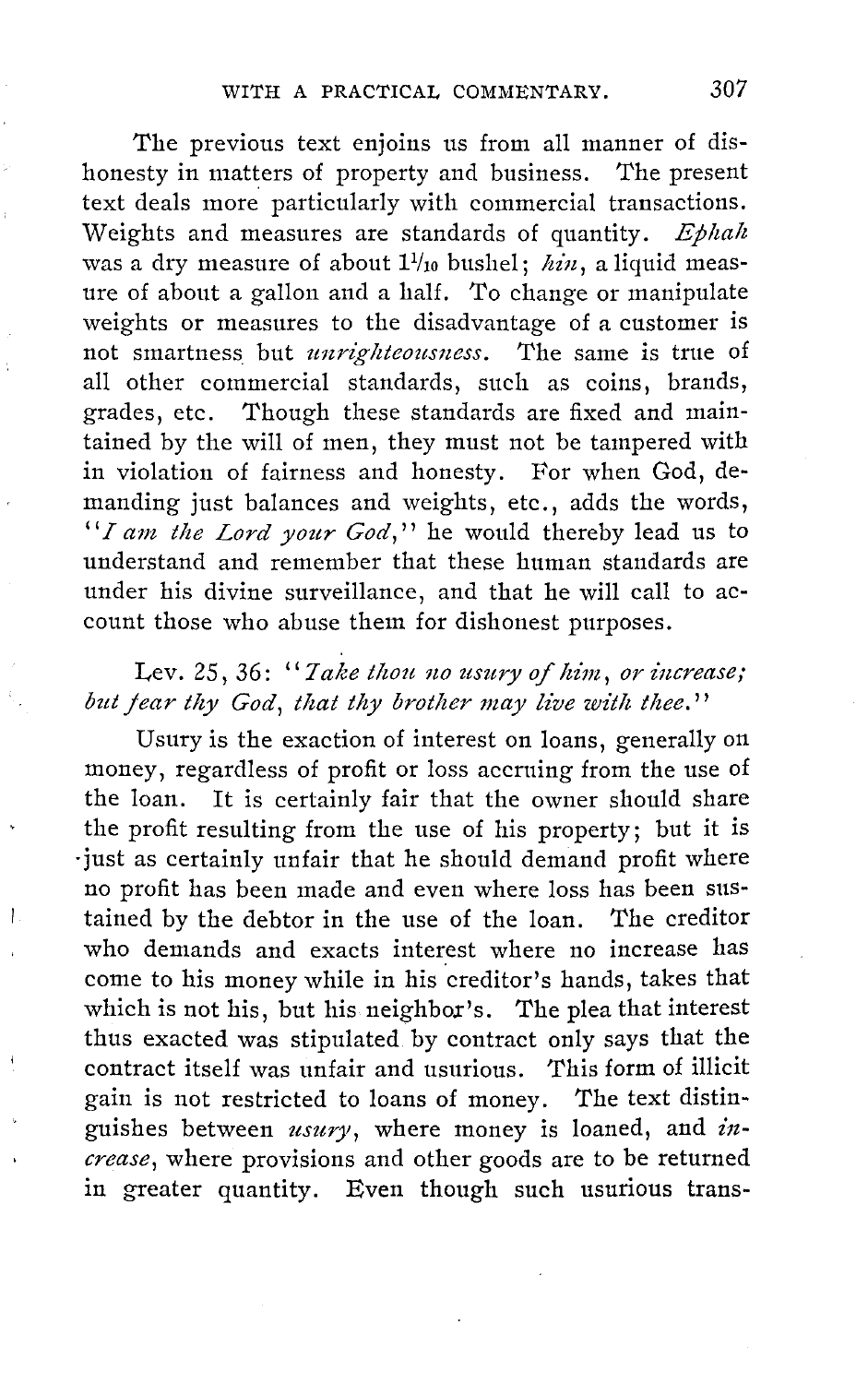The previous text enjoins us from all manner of dishonesty in matters of property and business. The present text deals more particularly with commercial transactions. Weights and measures are standards of quantity. *Ephah* was a dry measure of about 1<sup>1</sup>/<sub>10</sub> bushel; *hin*, a liquid measure of about a gallon and a half. To change or manipulate weights or measures to the disadvantage of a customer is not smartness but *unrighteousness*. The same is true of all other commercial standards, such as coins, brands, grades, etc. Though these standards are fixed and maintained by the will of men, they must not be tampered with in violation of fairness and honesty. For when God, demanding just balances and weights, etc., adds the words, '' *I aui the Lord your God,''* he would thereby lead us to understand and remember that these human standards are under his divine surveillance, and that he will call to account those who abuse them for dishonest purposes.

# Lev. 25, 36: "*Take thou no usury of him, or increase*; but fear thy God, that thy brother may live with thee."

Usury is the exaction of interest on loans, generally on money, regardless of profit or loss accruing from the use of the loan. It is certainly fair that the owner should share the profit resulting from the use of his property; but it is ·just as certainly unfair that he should demand profit where no profit has been made and even where loss has been sustained by the debtor in the use of the loan. The creditor who demands and exacts interest where no increase has come to his money while in his creditor's hands, takes that which is not his, but his neighbor's. The plea that interest thus exacted was stipulated. by contract only says that the contract itself was unfair and usurious. This form of illicit gain is not restricted to loans of money. The text distinguishes between *usury,* where money is loaned, and *increase,* where provisions and other goods are to be returned in greater quantity. Even though such usurious trans-

I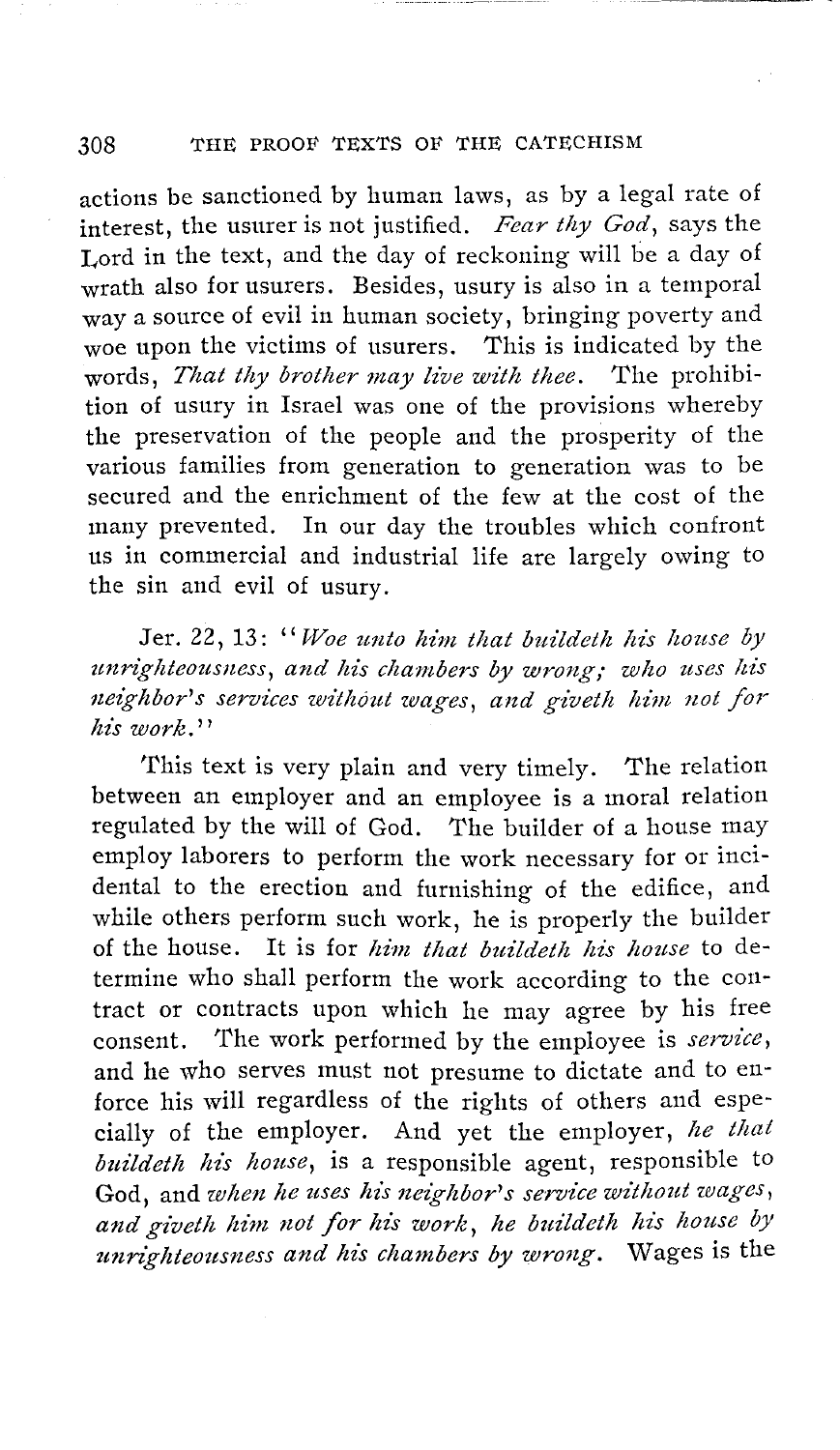actions be sanctioned by human laws, as by a legal rate of interest, the usurer is not justified. *Fear thy God,* says the Lord in the text, and the day of reckoning will be a day of wrath also for usurers. Besides, usury is also in a temporal way a source of evil in human society, bringing poverty and woe upon the victims of usurers. This is indicated by the words, *That thy brother may live with thee.* The prohibition of usury in Israel was one of the provisions whereby the preservation of the people and the prosperity of the various families from generation to generation was to be secured and the enrichment of the few at the cost of the many prevented. In our day the troubles which confront us in commercial and industrial life are largely owing to the sin and evil of usury.

Jer. 22, 13: "Woe unto him that buildeth his house by *unrighteousness, and his chambers by wrong; who uses his* neighbor's services without wages, and giveth him not for *his work.''* 

This text is very plain and very timely. The relation between an employer and an employee is a moral relation regulated by the will of God. The builder of a house may employ laborers to perform the work necessary for or incidental to the erection and furnishing of the edifice, and while others perform such work, he is properly the builder of the house. It is for *him that buildeth his house* to determine who shall perform the work according to the contract or contracts upon which he may agree by his free consent. The work performed by the employee is *service,*  and he who serves must not presume to dictate and to enforce his will regardless of the rights of others and especially of the employer. And yet the employer, *he that buildeth his house*, is a responsible agent, responsible to God, and *when he uses his neighbor's service without wages,* and giveth him not for his work, he buildeth his house by *unrighteousness and his chambers by wrong.* Wages is the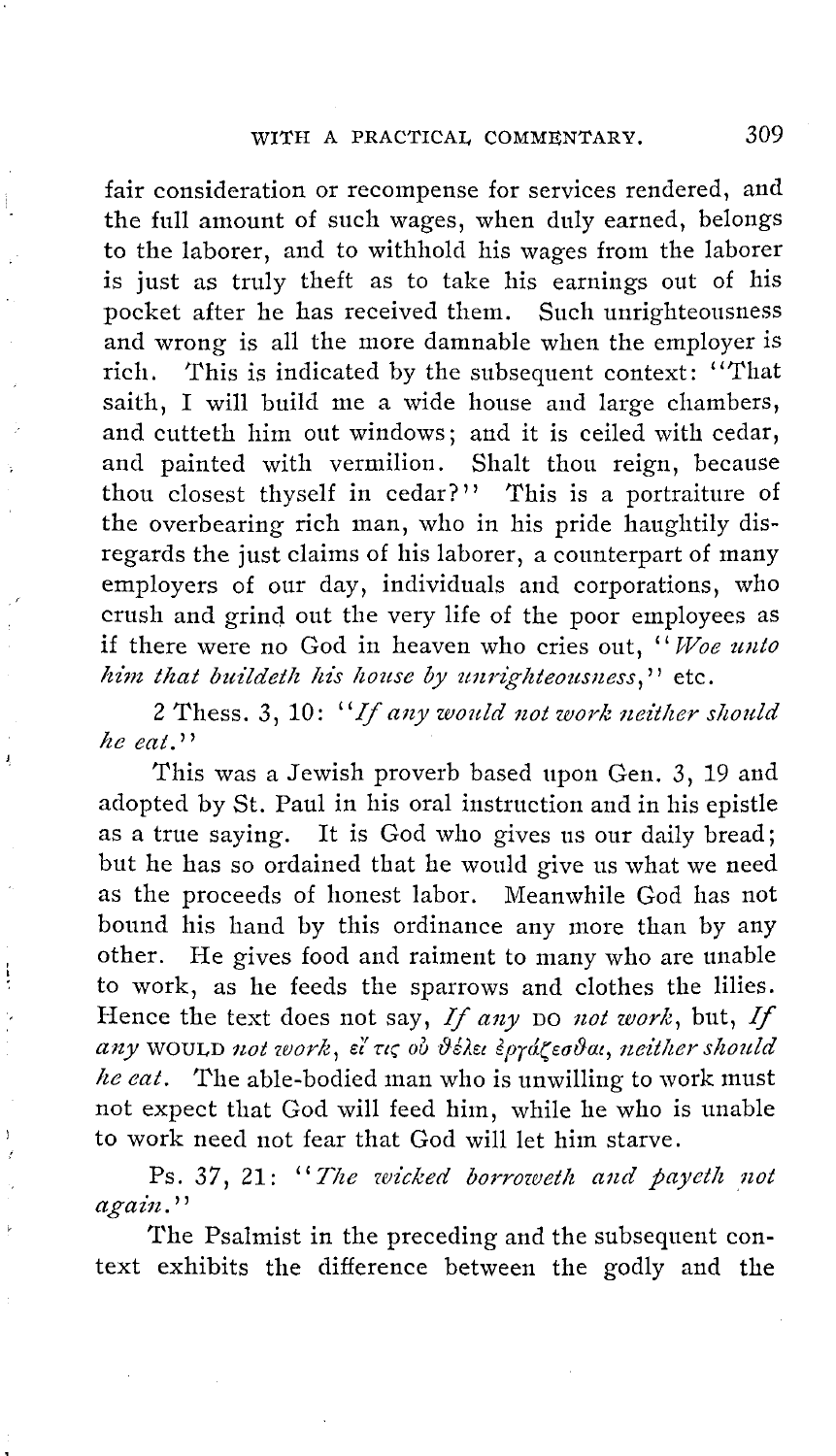fair consideration or recompense for services rendered, and the full amount of such wages, when duly earned, belongs to the laborer, and to withhold his wages from the laborer is just as truly theft as to take his earnings out of his pocket after he has received them. Such unrighteousness and wrong is all the more damnable when the employer is rich. This is indicated by the subsequent context: "That saith, I will build me a wide house and large chambers, and cutteth him out windows; and it is ceiled with cedar, and painted with vermilion. Shalt thou reign, because thou closest thyself in cedar?'' This is a portraiture of the overbearing rich man, who in his pride haughtily disregards the just claims of his laborer, a counterpart of many employers of our day, individuals and corporations, who crush and grinq. out the very life of the poor employees as if there were no God in heaven who cries out, "Woe unto *him that buildeth his house by unrighteousness,''* etc.

2 Thess. 3, 10: "If any would not work neither should he eat.''

J,

This was a Jewish proverb based upon Gen. 3, 19 and adopted by St. Paul in his oral instruction and in his epistle as a true saying. It is God who gives us our daily bread; but he has so ordained that he would give us what we need as the proceeds of honest labor. Meanwhile God has not bound his hand by this ordinance any more than by any other. He gives food and raiment to many who are unable to work, as he feeds the sparrows and clothes the lilies. Hence the text does not say, *If any* DO *not work,* but, *If any* WOULD *not work,* et' w; *ou* {)i).r;;i Jprd.(w{)w, *neitlzer should lie eat.* The able-bodied man who is unwilling to work must not expect that God will feed him, while he who is unable to work need not fear that God will let him starve.

Ps. 37, 21: "The wicked borroweth and payeth not again."

The Psalmist in the preceding and the subsequent context exhibits the difference between the godly and the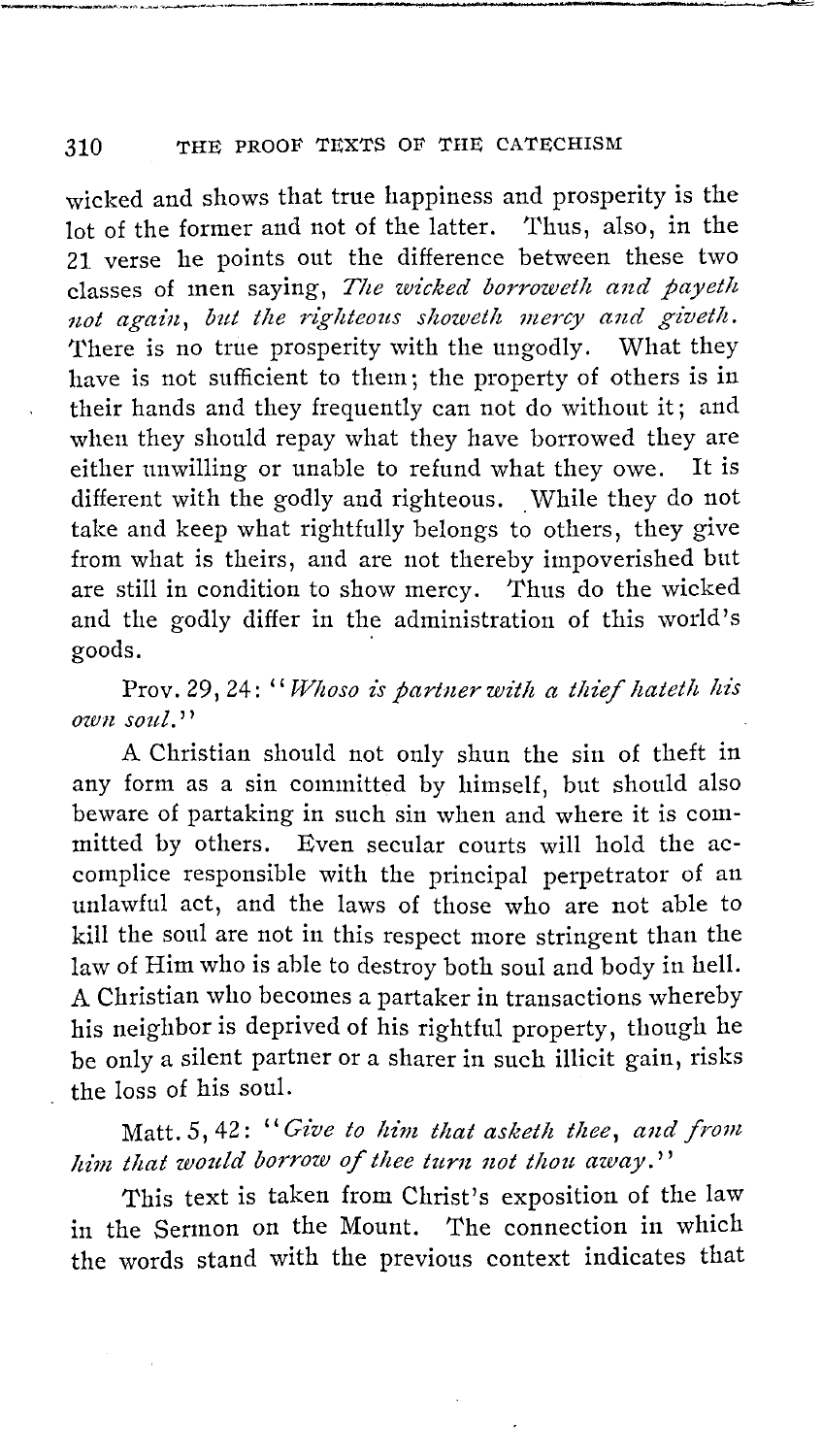wicked and shows that true happiness and prosperity is the lot of the former and not of the latter. Thus, also, in the 21 verse he points out the difference between these two classes of men saying, *The wicked borroweth and payeth* not again, but the righteous showeth mercy and giveth. There is no true prosperity with the ungodly. What they have is not sufficient to them; the property of others is in their hands and they frequently can not do without it; and when they should repay what they have borrowed they are either unwilling or unable to refund what they owe. It is different with the godly and righteous. While they do not take and keep what rightfully belongs to others, they give from what is theirs, and are not thereby impoverished but are still in condition to show mercy. Thus do the wicked and the godly differ in the administration of this world's goods.

Prov. 29, 24: "Whoso is partner with a thief hateth his *own soztl.''* 

A Christian should not only shun the sin of theft in any form as a sin committed by himself, but should also beware of partaking in such sin when and where it is committed by others. Even secular courts will hold the accomplice responsible with the principal perpetrator of an unlawful act, and the laws of those who are not able to kill the soul are not in this respect more stringent than the law of Him who is able to destroy both soul and body in hell. A Christian who becomes a partaker in transactions whereby his neighbor is deprived of his rightful property, though he be only a silent partner or a sharer in such illicit gain, risks the loss of his soul.

# Matt. 5, 42: "Give to him that asketh thee, and from him that would borrow of thee turn not thou away."

This text is taken from Christ's exposition of the law in the Sermon on the Mount. The connection in which the words stand with the previous context indicates that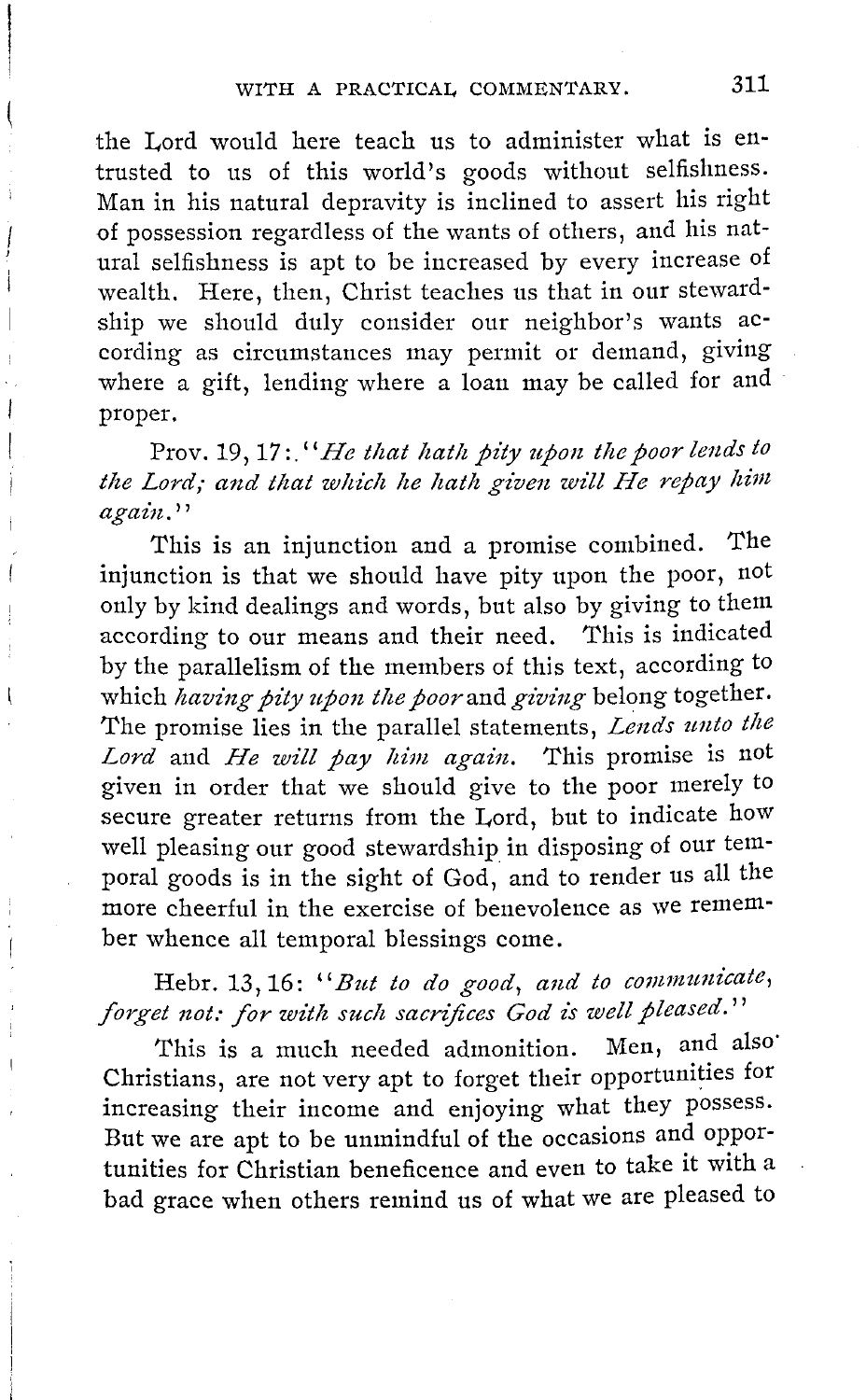the Lord would here teach us to administer what is entrusted to us of this world's goods without selfishness. Man in his natural depravity is inclined to assert his right of possession regardless of the wants of others, and his natural selfishness is apt to be increased by every increase of wealth. Here, then, Christ teaches us that in our stewardship we should duly consider our neighbor's wants according as circumstances may permit or demand, giving where a gift, lending where a loan may be called for and proper.

Prov. 19, 17:. "*He that hath pity upon the poor lends to* the Lord; and that which he hath given will He repay him *again.''* 

This is an injunction and a promise combined. The injunction is that we should have pity upon the poor, not only by kind dealings and words, but also by giving to them according to our means and their need. This is indicated by the parallelism of the members of this text, according to which *having pity upon the poor* and *giving* belong together. The promise lies in the parallel statements, *Lends unto the Lord* and *He will pay him again.* This promise is not given in order that we should give to the poor merely to secure greater returns from the Lord, but to indicate how well pleasing our good stewardship in disposing of our temporal goods is in the sight of God, and to render us all the more cheerful in the exercise of benevolence as we remember whence all temporal blessings come.

Hebr. 13, 16: "But to do good, and to communicate, *forget not: for with such sacrifices God is well pleased.''*<br>
This is a much needed admonition Men. and also'

This is a much needed admonition. Christians, are not very apt to forget their opportunities for increasing their income and enjoying what they possess. But we are apt to be unmindful of the occasions and opportunities for Christian beneficence and even to take it with a bad grace when others remind us of what we are pleased to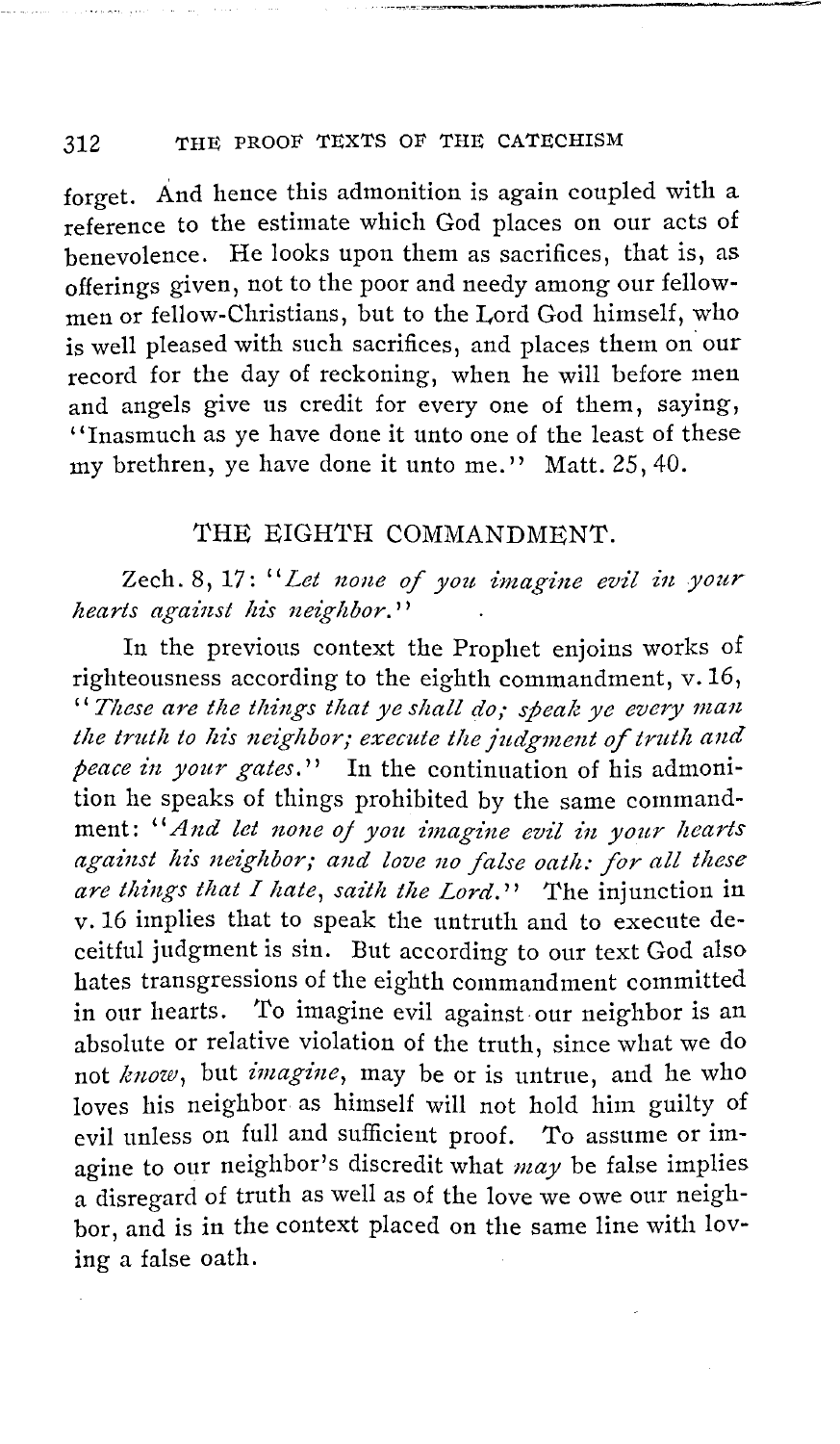forget. And hence this admonition is again coupled with a reference to the estimate which God places on our acts of benevolence. He looks upon them as sacrifices, that is, as offerings given, not to the poor and needy among our fellowmen or fellow-Christians, but to the Lord God himself, who is well pleased with such sacrifices, and places them on· our record for the day of reckoning, when he will before men and angels give us credit for every one of them, saying, "Inasmuch as ye have done it unto one of the least of these my brethren, ye have done it unto me." Matt. 25, 40.

#### THE EIGHTH COMMANDMENT.

Zech. 8, 17: *"Let none of you imagine evil in your hearts against his neighbor.*"

In the previous context the Prophet enjoins works of righteousness according to the eighth commandment, v.16, " These are the things that ye shall do; speak ye every man the truth to his neighbor; execute the judgment of truth and *peace in your gates.*" In the continuation of his admonition he speaks of things prohibited by the same commandment: "And let none of you imagine evil in your hearts against his neighbor; and love no false oath: for all these are things that I hate, saith the Lord." The injunction in v. 16 implies that to speak the untruth and to execute deceitful judgment is sin. But according to our text God also hates transgressions of the eighth commandment committed in our hearts. To imagine evil against our neighbor is an absolute or relative violation of the truth, since what we do not *know,* but *imagine,* may be or is untrue, and he who loves his neighbor as himself will not hold him guilty of evil unless on full and sufficient proof. To assume or imagine to our neighbor's discredit what *may* be false implies a disregard of truth as well as of the love we owe our neighbor, and is in the context placed on the same line with loving a false oath.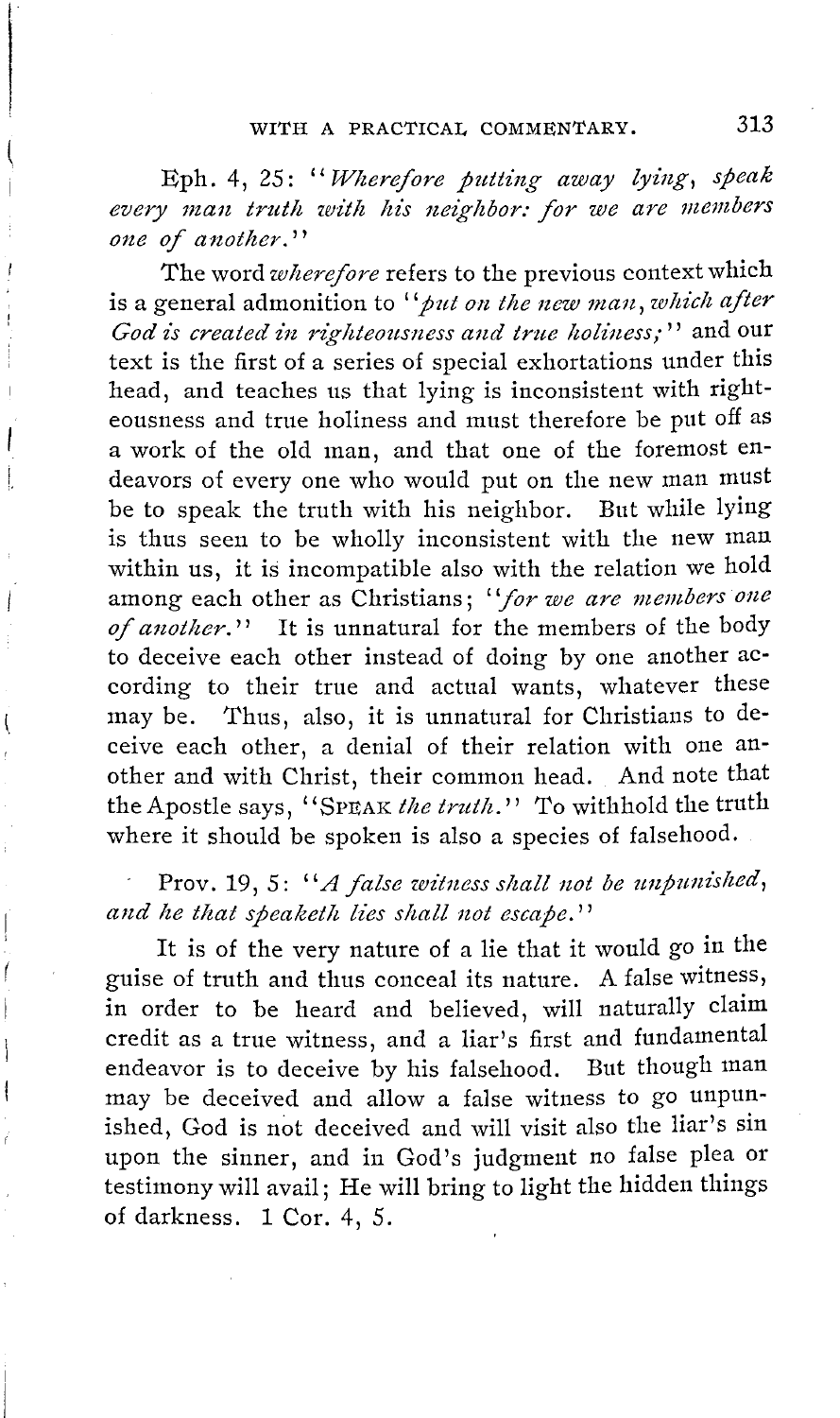Eph. 4, 25: "Wherefore putting away lying, speak every man truth with his neighbor: for we are members *one of another.* ''

The word *wherefore* refers to the previous context which is a general admonition to "*put on the new man*, which after God is created in righteousness and true holiness;" and our text is the first of a series of special exhortations under this head, and teaches us that lying is inconsistent with righteousness and true holiness and must therefore be put off as a work of the old man, and that one of the foremost endeavors of every one who would put on the new man must be to speak the truth with his neighbor. But while lying is thus seen to be wholly inconsistent with the new man within us, it is incompatible also with the relation we hold among each other as Christians ; *''for we are members one of another.''* It is unnatural for the members of the body to deceive each other instead of doing by one another according to their true and actual wants, whatever these may be. Thus, also, it is unnatural for Christians to deceive each other, a denial of their relation with one another and with Christ, their common head. And note that the Apostle says, "SPEAK *the truth."* To withhold the truth where it should be spoken is also a species of falsehood.

Prov. 19, 5: "*A false witness shall not be unpunished*, and he that speaketh lies shall not escape."

It is of the very nature of a lie that it would go in the guise of truth and thus conceal its nature. A false witness, in order to be heard and believed, will naturally claim credit as a true witness, and a liar's first and fundamental endeavor is to deceive by his falsehood. may be deceived and allow a false witness to go unpunished, God is not deceived and will visit also the liar's sin upon the sinner, and in God's judgment no false plea or testimony will avail; He will bring to light the hidden things of darkness. 1 Cor. 4, 5.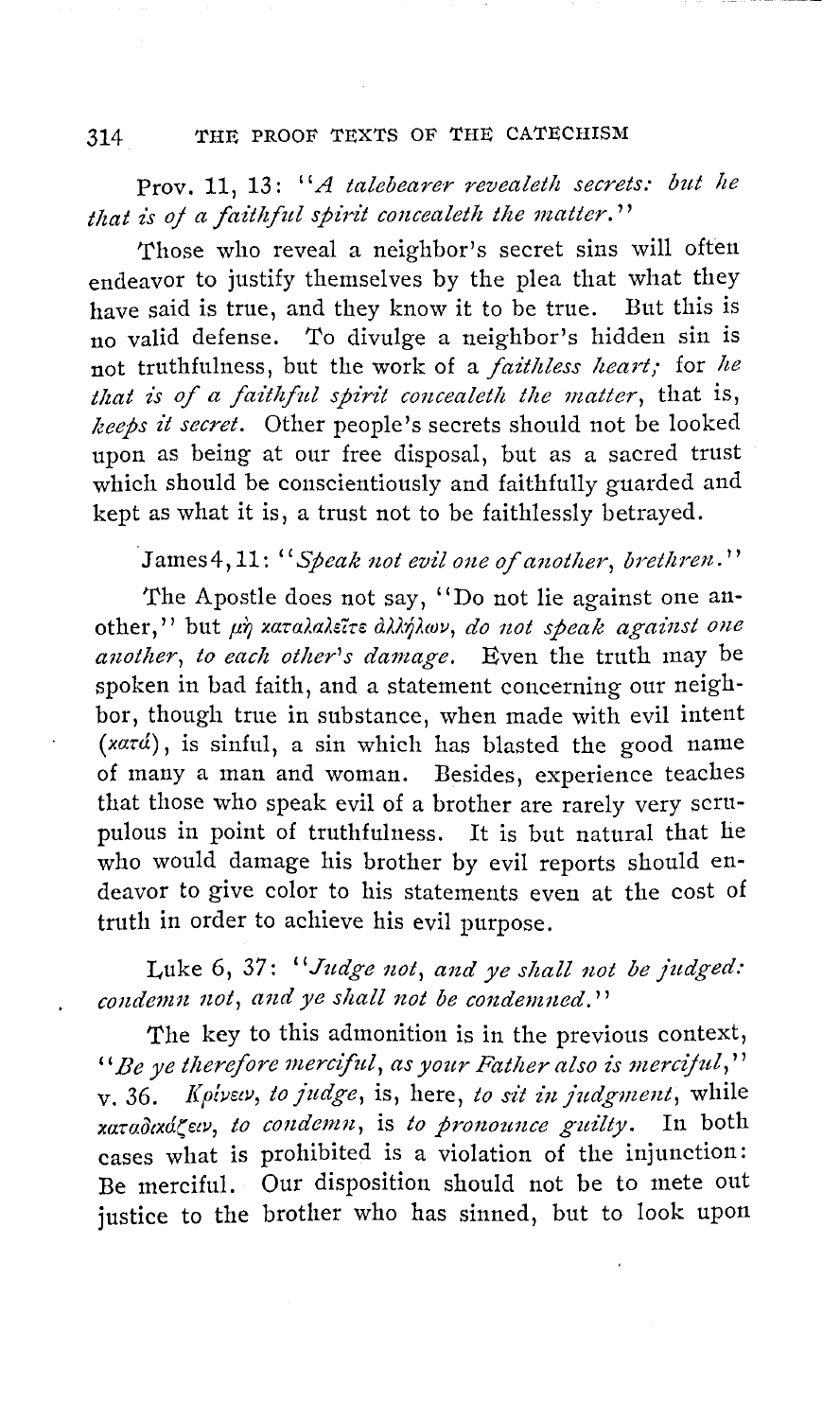Prov. 11, 13: "*A talebearer revealeth secrets: but he that is of a faithful spirit concealeth the matter.*"

Those who reveal a neighbor's secret sins will often endeavor to justify themselves by the plea that what they have said is true, and they know it to be true. But this is no valid defense. To divulge a neighbor's hidden sin is not truthfulness, but the work of a *faithless heart;* for *he that is of a faithful spirit concealeth the matter, that is, keeps it secret.* Other people's secrets should not be looked upon as being at our free disposal, but as a sacred trust which should be conscientiously and faithfully guarded and kept as what it is, a trust not to be faithlessly betrayed.

### James 4, 11: "Speak not evil one of another, brethren."

The Apostle does not say, "Do not lie against one another," but  $\mu\dot{\eta}$  *xaralaliers dllhilov, do not speak against one another, to each other's damage.* Even the truth may be spoken in bad faith, and a statement concerning our neighbor, though true in substance, when made with evil intent *(xanl),* is sinful, a sin which has blasted the good name of many a man and woman. Besides, experience teaches that those who speak evil of a brother are rarely very scrupulous in point of truthfulness. It is but natural that he who would damage his brother by evil reports should endeavor to give color to his statements even at the cost of truth in order to achieve his evil purpose.

Luke 6, 37: *"Judge not, and ye shall not be judged: condemn not, and ye shall not be condemned.''* 

The key to this admonition is in the previous context, '' *Be ye therefore merciful, as your Father also is merczjul,''*  v. 36. *Koivea, to judge*, is, here, *to sit in judgment*, while *xaraomf.(ecv, to condemn,* is *to pronounce guilty.* In both cases what is prohibited is a violation of the injunction: Be merciful. Our disposition should not be to mete out justice to the brother who has sinned, but to look upon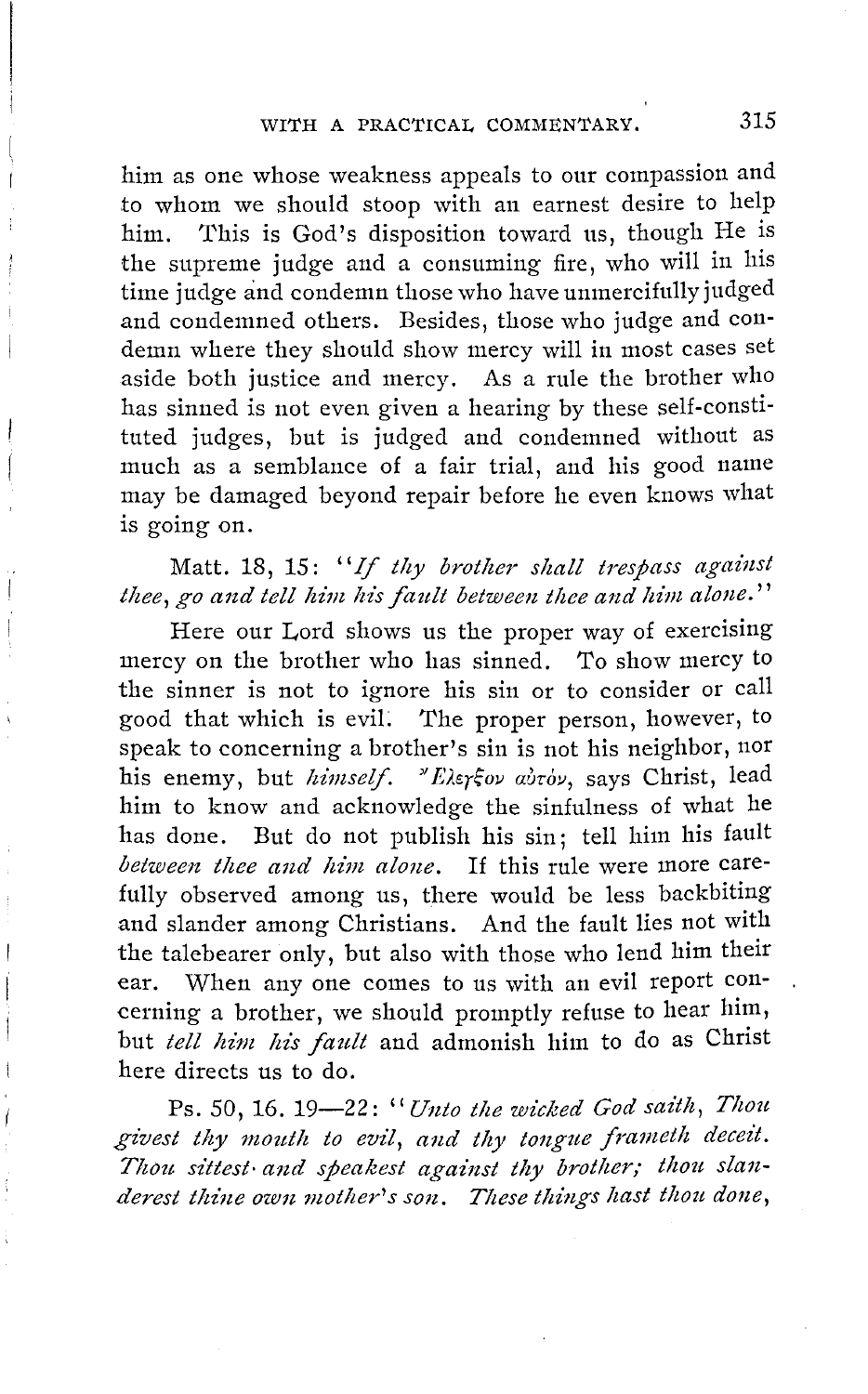him as one whose weakness appeals to our compassion and to whom we should stoop with an earnest desire to help him. This is God's disposition toward us, though He is the supreme judge and a consuming fire, who will in his time judge and condemn those who have unmercifully judged and condemned others. Besides, those who judge and condemn where they should show mercy will in most cases set aside both justice and mercy. As a rule the brother who has sinned is not even given a hearing by these self-constituted judges, but is judged and condemned without as much as a semblance of a fair trial, and his good name may be damaged beyond repair before he even knows what is going on.

### Matt. 18, 15: "If thy brother shall trespass against thee, go and tell him his fault between thee and him alone."

Here our Lord shows us the proper way of exercising mercy on the brother who has sinned. To show mercy to the sinner is not to ignore his sin or to consider or call good that which is evil. The proper person, however, to speak to concerning a brother's sin is not his neighbor, nor his enemy, but *himself. "Elerfov abrov*, says Christ, lead him to know and acknowledge the sinfulness of what he has done. But do not publish his sin; tell him his fault *between thee and him alone.* If this rule were more carefully observed among us, there would be less backbiting and slander among Christians. And the fault lies not with the talebearer only, but also with those who lend him their ear. When any one comes to us with an evil report concerning a brother, we should promptly refuse to hear him, but *tell him his fault* and admonish him to do as Christ here directs us to do.

Ps. 50, 16. 19-22: " *Unto the wicked God saith*, Thou givest thy mouth to evil, and thy tongue frameth deceit. Thou sittest and speakest against thy brother; thou slan*derest thine own mother's son. These things hast thou done,*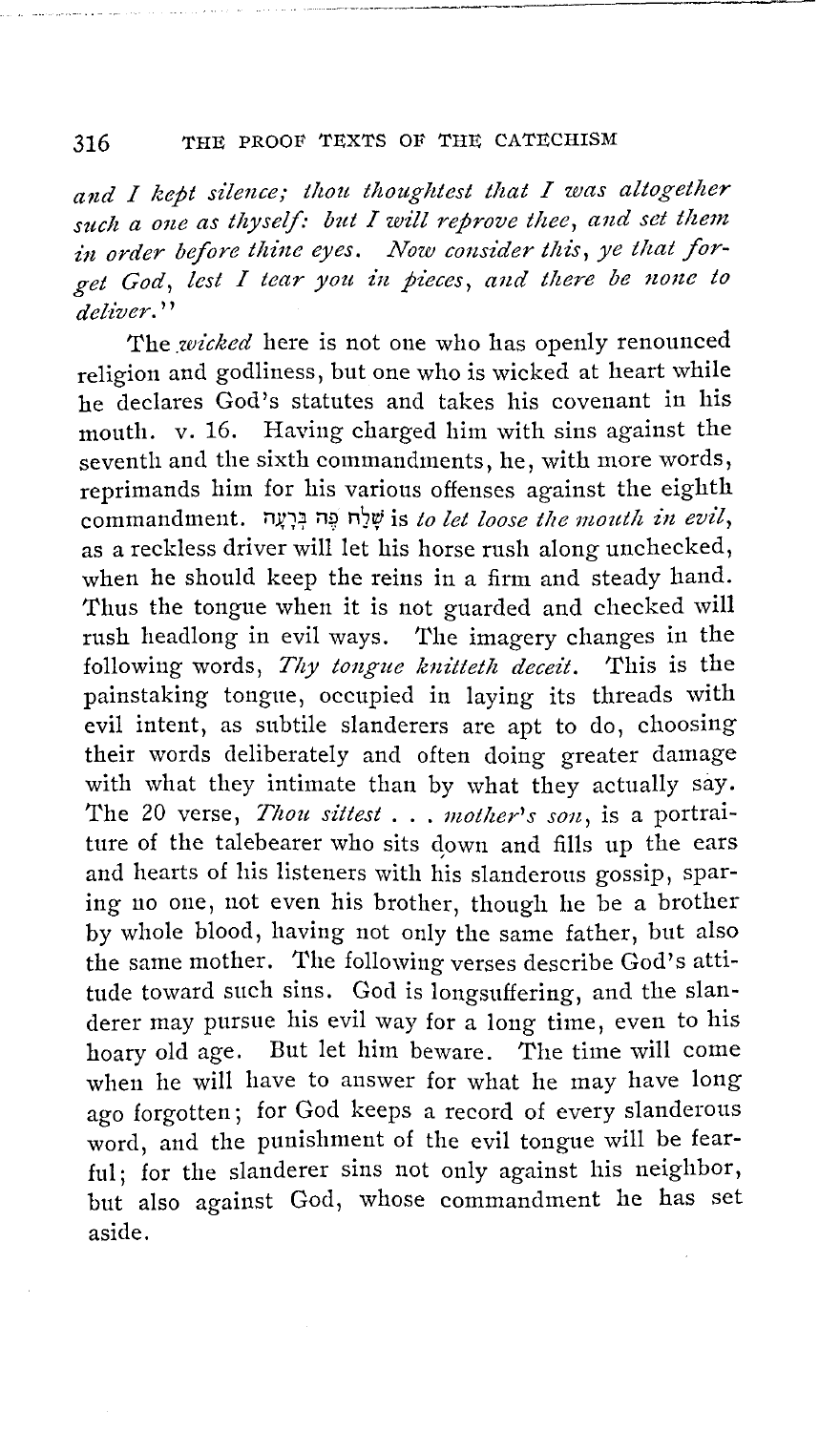*and I leept silence; tlwu thoughtest that I was altogether such a one as thyself: but I will reprove thee, and set them*  in order before thine eyes. Now consider this, ye that for*get God, lest I tear you in pieces, and there be none to delz'ver.* ''

. ---·-,,--~- ·----------------

The *wicked* here is not one who has openly renounced religion and godliness, but one who is wicked at heart while he declares God's statutes and takes his covenant in his mouth. v. 16. Having charged him with sins against the Having charged him with sins against the seventh and the sixth commandments, he, with more words, reprimands him for his various offenses against the eighth commandment. il.J.f:'f il,9 t1]!f is *to let loose tlte nioutlz in evz'l,*  as a reckless driver will let his horse rush along unchecked, when he should keep the reins in a firm and steady hand. Thus the tongue when it is not guarded and checked will rush headlong in evil ways. The imagery changes in the following words, *Thy tongue knitteth deceit*. This is the painstaking tongne, occupied in laying its threads with evil intent, as subtile slanderers are apt to do, choosing their words deliberately and often doing greater damage with what they intimate than by what they actually say. The 20 verse, *Thou sittest* . . . *mother's son*, is a portraiture of the talebearer who sits down and fills up the ears and hearts of his listeners with his slanderous gossip, sparing no one, not even his brother, though he be a brother by whole blood, having not only the same father, but also the same mother. The following verses describe God's attitude toward such sins. God is longsuffering, and the slanderer may pursue his evil way for a long time, even to his hoary old age. But let him beware. The time will come when he will have to answer for what he may have long ago forgotten; for God keeps a record of every slanderous word, and the punishment of the evil tongue will be fearful; for the slanderer sins not only against his neighbor, but also against God, whose commandment he has set aside.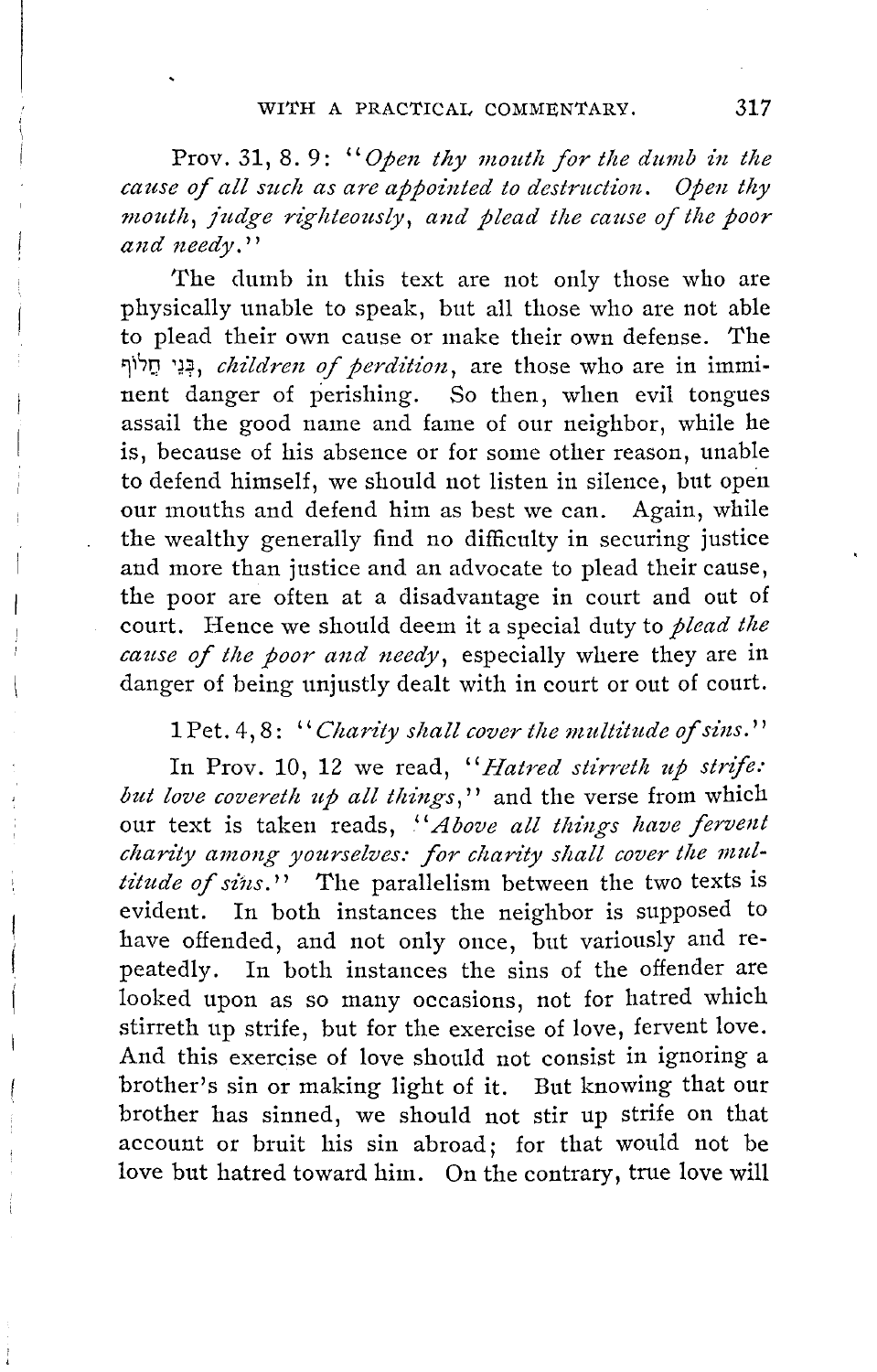Prov. 31, 8.9: "Open thy mouth for the dumb in the *cause of all such as are appointed to destruction. Open thy mouth, judge righteously, and plead the cause of the poor and needy.''* 

The dumb in this text are not only those who are physically unable to speak, but all those who are not able to plead their own cause or make their own defense. The ~\~Q 'J.-?, *c!tildren of perdition,* are those who are in imminent danger of perishing. So then, when evil tongues assail the good name and fame of our neighbor, while he is, because of his absence or for some other reason, unable to defend himself, we should not listen in silence, but open our mouths and defend him as best we can. Again, while the wealthy generally find no difficulty in securing justice and more than justice and an advocate to plead their cause, the poor are often at a disadvantage in court and out of court. Hence we should deem it a special duty to *plead the cause of the poor and needy*, especially where they are in danger of being unjustly dealt with in court or out of court.

#### 1 Pet. 4, 8: " Charity shall cover the multitude of sins."

In Prov. 10, 12 we read, "Hatred stirreth up strife: *but love covereth up all things,*" and the verse from which our text is taken reads, "Above all things have fervent *charity among yourselves: for charity shall cover the multitude of sins.*" The parallelism between the two texts is evident. In both instances the neighbor is supposed to have offended, and not only once, but variously and repeatedly. In both instances the sins of the offender are looked upon as so many occasions, not for hatred which stirreth up strife, but for the exercise of love, fervent love. And this exercise of love should not consist in ignoring a brother's sin or making light of it. But knowing that our brother has sinned, we should not stir up strife on that account or bruit his sin abroad; for that would not be love but hatred toward him. On the contrary, true love will